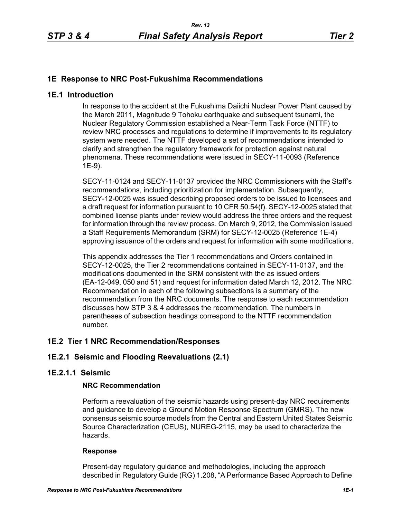# **1E Response to NRC Post-Fukushima Recommendations**

## **1E.1 Introduction**

In response to the accident at the Fukushima Daiichi Nuclear Power Plant caused by the March 2011, Magnitude 9 Tohoku earthquake and subsequent tsunami, the Nuclear Regulatory Commission established a Near-Term Task Force (NTTF) to review NRC processes and regulations to determine if improvements to its regulatory system were needed. The NTTF developed a set of recommendations intended to clarify and strengthen the regulatory framework for protection against natural phenomena. These recommendations were issued in SECY-11-0093 (Reference 1E-9).

SECY-11-0124 and SECY-11-0137 provided the NRC Commissioners with the Staff's recommendations, including prioritization for implementation. Subsequently, SECY-12-0025 was issued describing proposed orders to be issued to licensees and a draft request for information pursuant to 10 CFR 50.54(f). SECY-12-0025 stated that combined license plants under review would address the three orders and the request for information through the review process. On March 9, 2012, the Commission issued a Staff Requirements Memorandum (SRM) for SECY-12-0025 (Reference 1E-4) approving issuance of the orders and request for information with some modifications.

This appendix addresses the Tier 1 recommendations and Orders contained in SECY-12-0025, the Tier 2 recommendations contained in SECY-11-0137, and the modifications documented in the SRM consistent with the as issued orders (EA-12-049, 050 and 51) and request for information dated March 12, 2012. The NRC Recommendation in each of the following subsections is a summary of the recommendation from the NRC documents. The response to each recommendation discusses how STP 3 & 4 addresses the recommendation. The numbers in parentheses of subsection headings correspond to the NTTF recommendation number.

## **1E.2 Tier 1 NRC Recommendation/Responses**

# **1E.2.1 Seismic and Flooding Reevaluations (2.1)**

## **1E.2.1.1 Seismic**

#### **NRC Recommendation**

Perform a reevaluation of the seismic hazards using present-day NRC requirements and guidance to develop a Ground Motion Response Spectrum (GMRS). The new consensus seismic source models from the Central and Eastern United States Seismic Source Characterization (CEUS), NUREG-2115, may be used to characterize the hazards.

#### **Response**

Present-day regulatory guidance and methodologies, including the approach described in Regulatory Guide (RG) 1.208, "A Performance Based Approach to Define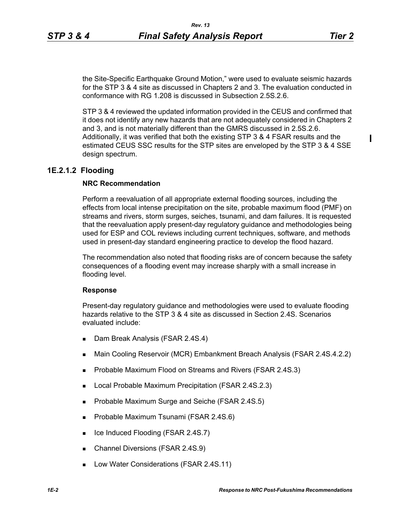the Site-Specific Earthquake Ground Motion," were used to evaluate seismic hazards for the STP 3 & 4 site as discussed in Chapters 2 and 3. The evaluation conducted in conformance with RG 1.208 is discussed in Subsection 2.5S.2.6.

STP 3 & 4 reviewed the updated information provided in the CEUS and confirmed that it does not identify any new hazards that are not adequately considered in Chapters 2 and 3, and is not materially different than the GMRS discussed in 2.5S.2.6. Additionally, it was verified that both the existing STP 3 & 4 FSAR results and the estimated CEUS SSC results for the STP sites are enveloped by the STP 3 & 4 SSE design spectrum.

### **1E.2.1.2 Flooding**

#### **NRC Recommendation**

Perform a reevaluation of all appropriate external flooding sources, including the effects from local intense precipitation on the site, probable maximum flood (PMF) on streams and rivers, storm surges, seiches, tsunami, and dam failures. It is requested that the reevaluation apply present-day regulatory guidance and methodologies being used for ESP and COL reviews including current techniques, software, and methods used in present-day standard engineering practice to develop the flood hazard.

The recommendation also noted that flooding risks are of concern because the safety consequences of a flooding event may increase sharply with a small increase in flooding level.

#### **Response**

Present-day regulatory guidance and methodologies were used to evaluate flooding hazards relative to the STP 3 & 4 site as discussed in Section 2.4S. Scenarios evaluated include:

- Dam Break Analysis (FSAR 2.4S.4)
- Main Cooling Reservoir (MCR) Embankment Breach Analysis (FSAR 2.4S.4.2.2)
- Probable Maximum Flood on Streams and Rivers (FSAR 2.4S.3)
- **Local Probable Maximum Precipitation (FSAR 2.4S.2.3)**
- **Probable Maximum Surge and Seiche (FSAR 2.4S.5)**
- **Probable Maximum Tsunami (FSAR 2.4S.6)**
- Ice Induced Flooding (FSAR 2.4S.7)
- Channel Diversions (FSAR 2.4S.9)
- **Low Water Considerations (FSAR 2.4S.11)**

 $\blacksquare$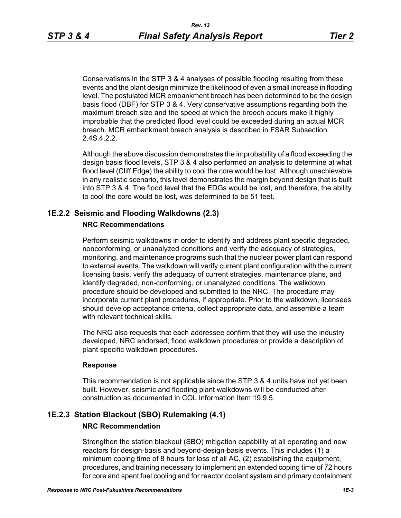Conservatisms in the STP 3 & 4 analyses of possible flooding resulting from these events and the plant design minimize the likelihood of even a small increase in flooding level. The postulated MCR embankment breach has been determined to be the design basis flood (DBF) for STP 3 & 4. Very conservative assumptions regarding both the maximum breach size and the speed at which the breech occurs make it highly improbable that the predicted flood level could be exceeded during an actual MCR breach. MCR embankment breach analysis is described in FSAR Subsection 2.4S.4.2.2.

Although the above discussion demonstrates the improbability of a flood exceeding the design basis flood levels, STP 3 & 4 also performed an analysis to determine at what flood level (Cliff Edge) the ability to cool the core would be lost. Although unachievable in any realistic scenario, this level demonstrates the margin beyond design that is built into STP 3 & 4. The flood level that the EDGs would be lost, and therefore, the ability to cool the core would be lost, was determined to be 51 feet.

# **1E.2.2 Seismic and Flooding Walkdowns (2.3)**

## **NRC Recommendations**

Perform seismic walkdowns in order to identify and address plant specific degraded, nonconforming, or unanalyzed conditions and verify the adequacy of strategies, monitoring, and maintenance programs such that the nuclear power plant can respond to external events. The walkdown will verify current plant configuration with the current licensing basis, verify the adequacy of current strategies, maintenance plans, and identify degraded, non-conforming, or unanalyzed conditions. The walkdown procedure should be developed and submitted to the NRC. The procedure may incorporate current plant procedures, if appropriate. Prior to the walkdown, licensees should develop acceptance criteria, collect appropriate data, and assemble a team with relevant technical skills.

The NRC also requests that each addressee confirm that they will use the industry developed, NRC endorsed, flood walkdown procedures or provide a description of plant specific walkdown procedures.

## **Response**

This recommendation is not applicable since the STP 3 & 4 units have not yet been built. However, seismic and flooding plant walkdowns will be conducted after construction as documented in COL Information Item 19.9.5.

# **1E.2.3 Station Blackout (SBO) Rulemaking (4.1)**

## **NRC Recommendation**

Strengthen the station blackout (SBO) mitigation capability at all operating and new reactors for design-basis and beyond-design-basis events. This includes (1) a minimum coping time of 8 hours for loss of all AC, (2) establishing the equipment, procedures, and training necessary to implement an extended coping time of 72 hours for core and spent fuel cooling and for reactor coolant system and primary containment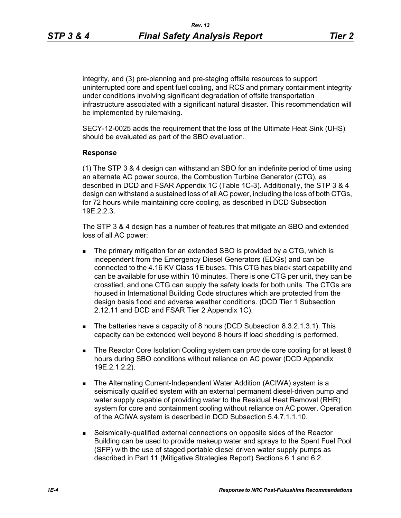integrity, and (3) pre-planning and pre-staging offsite resources to support uninterrupted core and spent fuel cooling, and RCS and primary containment integrity under conditions involving significant degradation of offsite transportation infrastructure associated with a significant natural disaster. This recommendation will

be implemented by rulemaking. SECY-12-0025 adds the requirement that the loss of the Ultimate Heat Sink (UHS)

should be evaluated as part of the SBO evaluation.

### **Response**

(1) The STP 3 & 4 design can withstand an SBO for an indefinite period of time using an alternate AC power source, the Combustion Turbine Generator (CTG), as described in DCD and FSAR Appendix 1C (Table 1C-3). Additionally, the STP 3 & 4 design can withstand a sustained loss of all AC power, including the loss of both CTGs, for 72 hours while maintaining core cooling, as described in DCD Subsection 19E.2.2.3.

The STP 3 & 4 design has a number of features that mitigate an SBO and extended loss of all AC power:

- **The primary mitigation for an extended SBO is provided by a CTG, which is** independent from the Emergency Diesel Generators (EDGs) and can be connected to the 4.16 KV Class 1E buses. This CTG has black start capability and can be available for use within 10 minutes. There is one CTG per unit, they can be crosstied, and one CTG can supply the safety loads for both units. The CTGs are housed in International Building Code structures which are protected from the design basis flood and adverse weather conditions. (DCD Tier 1 Subsection 2.12.11 and DCD and FSAR Tier 2 Appendix 1C).
- The batteries have a capacity of 8 hours (DCD Subsection 8.3.2.1.3.1). This capacity can be extended well beyond 8 hours if load shedding is performed.
- The Reactor Core Isolation Cooling system can provide core cooling for at least 8 hours during SBO conditions without reliance on AC power (DCD Appendix 19E.2.1.2.2).
- The Alternating Current-Independent Water Addition (ACIWA) system is a seismically qualified system with an external permanent diesel-driven pump and water supply capable of providing water to the Residual Heat Removal (RHR) system for core and containment cooling without reliance on AC power. Operation of the ACIWA system is described in DCD Subsection 5.4.7.1.1.10.
- Seismically-qualified external connections on opposite sides of the Reactor Building can be used to provide makeup water and sprays to the Spent Fuel Pool (SFP) with the use of staged portable diesel driven water supply pumps as described in Part 11 (Mitigative Strategies Report) Sections 6.1 and 6.2.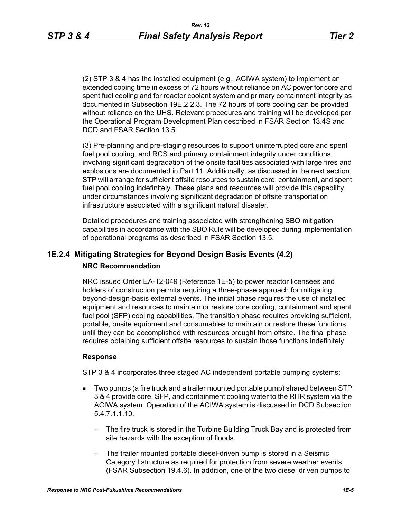(2) STP 3 & 4 has the installed equipment (e.g., ACIWA system) to implement an extended coping time in excess of 72 hours without reliance on AC power for core and spent fuel cooling and for reactor coolant system and primary containment integrity as documented in Subsection 19E.2.2.3. The 72 hours of core cooling can be provided without reliance on the UHS. Relevant procedures and training will be developed per the Operational Program Development Plan described in FSAR Section 13.4S and DCD and FSAR Section 13.5.

(3) Pre-planning and pre-staging resources to support uninterrupted core and spent fuel pool cooling, and RCS and primary containment integrity under conditions involving significant degradation of the onsite facilities associated with large fires and explosions are documented in Part 11. Additionally, as discussed in the next section, STP will arrange for sufficient offsite resources to sustain core, containment, and spent fuel pool cooling indefinitely. These plans and resources will provide this capability under circumstances involving significant degradation of offsite transportation infrastructure associated with a significant natural disaster.

Detailed procedures and training associated with strengthening SBO mitigation capabilities in accordance with the SBO Rule will be developed during implementation of operational programs as described in FSAR Section 13.5.

# **1E.2.4 Mitigating Strategies for Beyond Design Basis Events (4.2) NRC Recommendation**

NRC issued Order EA-12-049 (Reference 1E-5) to power reactor licensees and holders of construction permits requiring a three-phase approach for mitigating beyond-design-basis external events. The initial phase requires the use of installed equipment and resources to maintain or restore core cooling, containment and spent fuel pool (SFP) cooling capabilities. The transition phase requires providing sufficient, portable, onsite equipment and consumables to maintain or restore these functions until they can be accomplished with resources brought from offsite. The final phase requires obtaining sufficient offsite resources to sustain those functions indefinitely.

#### **Response**

STP 3 & 4 incorporates three staged AC independent portable pumping systems:

- Two pumps (a fire truck and a trailer mounted portable pump) shared between STP 3 & 4 provide core, SFP, and containment cooling water to the RHR system via the ACIWA system. Operation of the ACIWA system is discussed in DCD Subsection 5.4.7.1.1.10.
	- The fire truck is stored in the Turbine Building Truck Bay and is protected from site hazards with the exception of floods.
	- The trailer mounted portable diesel-driven pump is stored in a Seismic Category I structure as required for protection from severe weather events (FSAR Subsection 19.4.6). In addition, one of the two diesel driven pumps to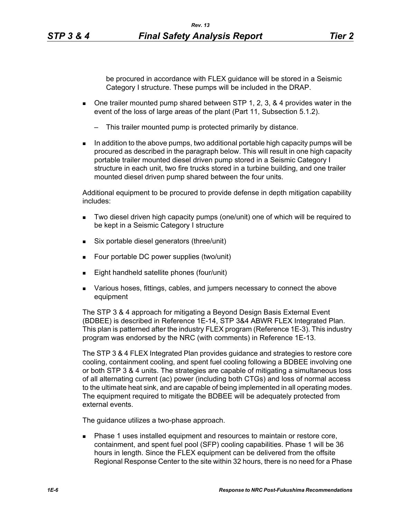be procured in accordance with FLEX guidance will be stored in a Seismic Category I structure. These pumps will be included in the DRAP.

- $\blacksquare$  One trailer mounted pump shared between STP 1, 2, 3, & 4 provides water in the event of the loss of large areas of the plant (Part 11, Subsection 5.1.2).
	- This trailer mounted pump is protected primarily by distance.
- $\blacksquare$  In addition to the above pumps, two additional portable high capacity pumps will be procured as described in the paragraph below. This will result in one high capacity portable trailer mounted diesel driven pump stored in a Seismic Category I structure in each unit, two fire trucks stored in a turbine building, and one trailer mounted diesel driven pump shared between the four units.

Additional equipment to be procured to provide defense in depth mitigation capability includes:

- Two diesel driven high capacity pumps (one/unit) one of which will be required to be kept in a Seismic Category I structure
- Six portable diesel generators (three/unit)
- Four portable DC power supplies (two/unit)
- Eight handheld satellite phones (four/unit)
- **Various hoses, fittings, cables, and jumpers necessary to connect the above** equipment

The STP 3 & 4 approach for mitigating a Beyond Design Basis External Event (BDBEE) is described in Reference 1E-14, STP 3&4 ABWR FLEX Integrated Plan. This plan is patterned after the industry FLEX program (Reference 1E-3). This industry program was endorsed by the NRC (with comments) in Reference 1E-13.

The STP 3 & 4 FLEX Integrated Plan provides guidance and strategies to restore core cooling, containment cooling, and spent fuel cooling following a BDBEE involving one or both STP 3 & 4 units. The strategies are capable of mitigating a simultaneous loss of all alternating current (ac) power (including both CTGs) and loss of normal access to the ultimate heat sink, and are capable of being implemented in all operating modes. The equipment required to mitigate the BDBEE will be adequately protected from external events.

The guidance utilizes a two-phase approach.

 Phase 1 uses installed equipment and resources to maintain or restore core, containment, and spent fuel pool (SFP) cooling capabilities. Phase 1 will be 36 hours in length. Since the FLEX equipment can be delivered from the offsite Regional Response Center to the site within 32 hours, there is no need for a Phase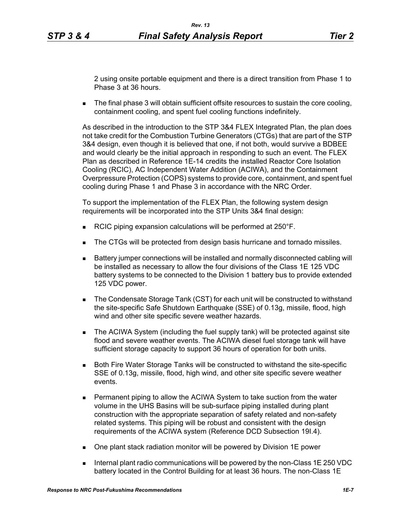2 using onsite portable equipment and there is a direct transition from Phase 1 to Phase 3 at 36 hours.

The final phase 3 will obtain sufficient offsite resources to sustain the core cooling, containment cooling, and spent fuel cooling functions indefinitely.

As described in the introduction to the STP 3&4 FLEX Integrated Plan, the plan does not take credit for the Combustion Turbine Generators (CTGs) that are part of the STP 3&4 design, even though it is believed that one, if not both, would survive a BDBEE and would clearly be the initial approach in responding to such an event. The FLEX Plan as described in Reference 1E-14 credits the installed Reactor Core Isolation Cooling (RCIC), AC Independent Water Addition (ACIWA), and the Containment Overpressure Protection (COPS) systems to provide core, containment, and spent fuel cooling during Phase 1 and Phase 3 in accordance with the NRC Order.

To support the implementation of the FLEX Plan, the following system design requirements will be incorporated into the STP Units 3&4 final design:

- RCIC piping expansion calculations will be performed at 250°F.
- The CTGs will be protected from design basis hurricane and tornado missiles.
- Battery jumper connections will be installed and normally disconnected cabling will be installed as necessary to allow the four divisions of the Class 1E 125 VDC battery systems to be connected to the Division 1 battery bus to provide extended 125 VDC power.
- The Condensate Storage Tank (CST) for each unit will be constructed to withstand the site-specific Safe Shutdown Earthquake (SSE) of 0.13g, missile, flood, high wind and other site specific severe weather hazards.
- The ACIWA System (including the fuel supply tank) will be protected against site flood and severe weather events. The ACIWA diesel fuel storage tank will have sufficient storage capacity to support 36 hours of operation for both units.
- Both Fire Water Storage Tanks will be constructed to withstand the site-specific SSE of 0.13g, missile, flood, high wind, and other site specific severe weather events.
- **Permanent piping to allow the ACIWA System to take suction from the water** volume in the UHS Basins will be sub-surface piping installed during plant construction with the appropriate separation of safety related and non-safety related systems. This piping will be robust and consistent with the design requirements of the ACIWA system (Reference DCD Subsection 19I.4).
- One plant stack radiation monitor will be powered by Division 1E power
- Internal plant radio communications will be powered by the non-Class  $1E$  250 VDC battery located in the Control Building for at least 36 hours. The non-Class 1E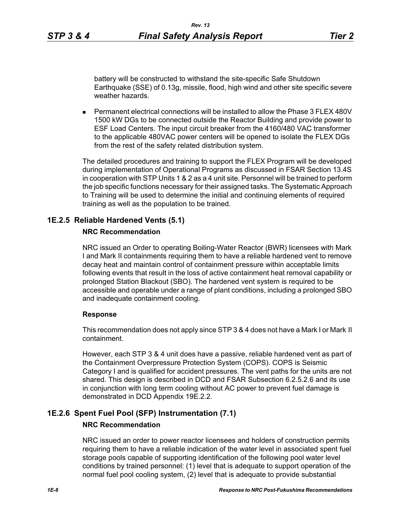battery will be constructed to withstand the site-specific Safe Shutdown Earthquake (SSE) of 0.13g, missile, flood, high wind and other site specific severe weather hazards.

 Permanent electrical connections will be installed to allow the Phase 3 FLEX 480V 1500 kW DGs to be connected outside the Reactor Building and provide power to ESF Load Centers. The input circuit breaker from the 4160/480 VAC transformer to the applicable 480VAC power centers will be opened to isolate the FLEX DGs from the rest of the safety related distribution system.

The detailed procedures and training to support the FLEX Program will be developed during implementation of Operational Programs as discussed in FSAR Section 13.4S in cooperation with STP Units 1 & 2 as a 4 unit site. Personnel will be trained to perform the job specific functions necessary for their assigned tasks. The Systematic Approach to Training will be used to determine the initial and continuing elements of required training as well as the population to be trained.

# **1E.2.5 Reliable Hardened Vents (5.1)**

# **NRC Recommendation**

NRC issued an Order to operating Boiling-Water Reactor (BWR) licensees with Mark I and Mark II containments requiring them to have a reliable hardened vent to remove decay heat and maintain control of containment pressure within acceptable limits following events that result in the loss of active containment heat removal capability or prolonged Station Blackout (SBO). The hardened vent system is required to be accessible and operable under a range of plant conditions, including a prolonged SBO and inadequate containment cooling.

## **Response**

This recommendation does not apply since STP 3 & 4 does not have a Mark I or Mark II containment.

However, each STP 3 & 4 unit does have a passive, reliable hardened vent as part of the Containment Overpressure Protection System (COPS). COPS is Seismic Category I and is qualified for accident pressures. The vent paths for the units are not shared. This design is described in DCD and FSAR Subsection 6.2.5.2.6 and its use in conjunction with long term cooling without AC power to prevent fuel damage is demonstrated in DCD Appendix 19E.2.2.

# **1E.2.6 Spent Fuel Pool (SFP) Instrumentation (7.1)**

# **NRC Recommendation**

NRC issued an order to power reactor licensees and holders of construction permits requiring them to have a reliable indication of the water level in associated spent fuel storage pools capable of supporting identification of the following pool water level conditions by trained personnel: (1) level that is adequate to support operation of the normal fuel pool cooling system, (2) level that is adequate to provide substantial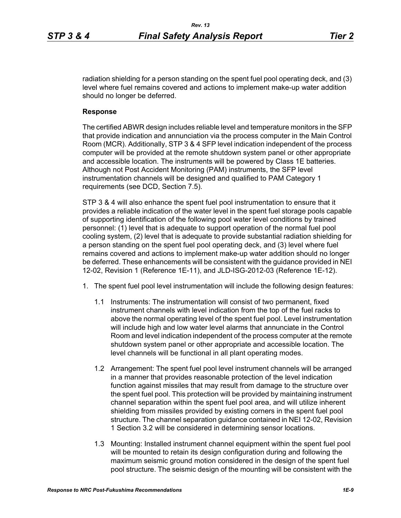radiation shielding for a person standing on the spent fuel pool operating deck, and (3) level where fuel remains covered and actions to implement make-up water addition should no longer be deferred.

### **Response**

The certified ABWR design includes reliable level and temperature monitors in the SFP that provide indication and annunciation via the process computer in the Main Control Room (MCR). Additionally, STP 3 & 4 SFP level indication independent of the process computer will be provided at the remote shutdown system panel or other appropriate and accessible location. The instruments will be powered by Class 1E batteries. Although not Post Accident Monitoring (PAM) instruments, the SFP level instrumentation channels will be designed and qualified to PAM Category 1 requirements (see DCD, Section 7.5).

STP 3 & 4 will also enhance the spent fuel pool instrumentation to ensure that it provides a reliable indication of the water level in the spent fuel storage pools capable of supporting identification of the following pool water level conditions by trained personnel: (1) level that is adequate to support operation of the normal fuel pool cooling system, (2) level that is adequate to provide substantial radiation shielding for a person standing on the spent fuel pool operating deck, and (3) level where fuel remains covered and actions to implement make-up water addition should no longer be deferred. These enhancements will be consistent with the guidance provided in NEI 12-02, Revision 1 (Reference 1E-11), and JLD-ISG-2012-03 (Reference 1E-12).

- 1. The spent fuel pool level instrumentation will include the following design features:
	- 1.1 Instruments: The instrumentation will consist of two permanent, fixed instrument channels with level indication from the top of the fuel racks to above the normal operating level of the spent fuel pool. Level instrumentation will include high and low water level alarms that annunciate in the Control Room and level indication independent of the process computer at the remote shutdown system panel or other appropriate and accessible location. The level channels will be functional in all plant operating modes.
	- 1.2 Arrangement: The spent fuel pool level instrument channels will be arranged in a manner that provides reasonable protection of the level indication function against missiles that may result from damage to the structure over the spent fuel pool. This protection will be provided by maintaining instrument channel separation within the spent fuel pool area, and will utilize inherent shielding from missiles provided by existing corners in the spent fuel pool structure. The channel separation guidance contained in NEI 12-02, Revision 1 Section 3.2 will be considered in determining sensor locations.
	- 1.3 Mounting: Installed instrument channel equipment within the spent fuel pool will be mounted to retain its design configuration during and following the maximum seismic ground motion considered in the design of the spent fuel pool structure. The seismic design of the mounting will be consistent with the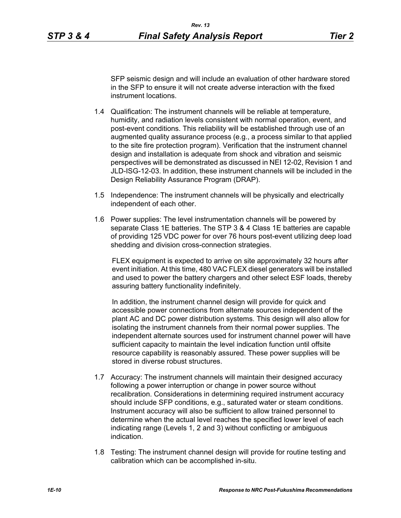instrument locations.

SFP seismic design and will include an evaluation of other hardware stored in the SFP to ensure it will not create adverse interaction with the fixed

- 1.4 Qualification: The instrument channels will be reliable at temperature, humidity, and radiation levels consistent with normal operation, event, and post-event conditions. This reliability will be established through use of an augmented quality assurance process (e.g., a process similar to that applied to the site fire protection program). Verification that the instrument channel design and installation is adequate from shock and vibration and seismic perspectives will be demonstrated as discussed in NEI 12-02, Revision 1 and JLD-ISG-12-03. In addition, these instrument channels will be included in the Design Reliability Assurance Program (DRAP).
- 1.5 Independence: The instrument channels will be physically and electrically independent of each other.
- 1.6 Power supplies: The level instrumentation channels will be powered by separate Class 1E batteries. The STP 3 & 4 Class 1E batteries are capable of providing 125 VDC power for over 76 hours post-event utilizing deep load shedding and division cross-connection strategies.

FLEX equipment is expected to arrive on site approximately 32 hours after event initiation. At this time, 480 VAC FLEX diesel generators will be installed and used to power the battery chargers and other select ESF loads, thereby assuring battery functionality indefinitely.

In addition, the instrument channel design will provide for quick and accessible power connections from alternate sources independent of the plant AC and DC power distribution systems. This design will also allow for isolating the instrument channels from their normal power supplies. The independent alternate sources used for instrument channel power will have sufficient capacity to maintain the level indication function until offsite resource capability is reasonably assured. These power supplies will be stored in diverse robust structures.

- 1.7 Accuracy: The instrument channels will maintain their designed accuracy following a power interruption or change in power source without recalibration. Considerations in determining required instrument accuracy should include SFP conditions, e.g., saturated water or steam conditions. Instrument accuracy will also be sufficient to allow trained personnel to determine when the actual level reaches the specified lower level of each indicating range (Levels 1, 2 and 3) without conflicting or ambiguous indication.
- 1.8 Testing: The instrument channel design will provide for routine testing and calibration which can be accomplished in-situ.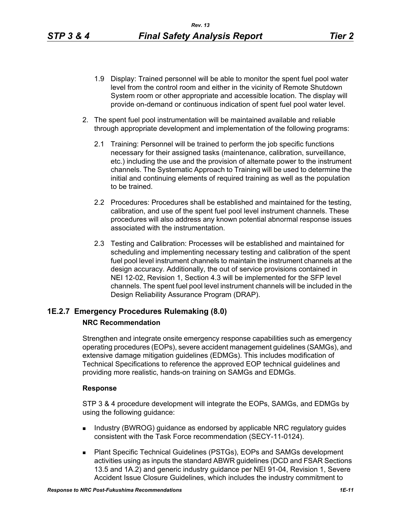- 1.9 Display: Trained personnel will be able to monitor the spent fuel pool water level from the control room and either in the vicinity of Remote Shutdown System room or other appropriate and accessible location. The display will provide on-demand or continuous indication of spent fuel pool water level.
- 2. The spent fuel pool instrumentation will be maintained available and reliable through appropriate development and implementation of the following programs:
	- 2.1 Training: Personnel will be trained to perform the job specific functions necessary for their assigned tasks (maintenance, calibration, surveillance, etc.) including the use and the provision of alternate power to the instrument channels. The Systematic Approach to Training will be used to determine the initial and continuing elements of required training as well as the population to be trained.
	- 2.2 Procedures: Procedures shall be established and maintained for the testing, calibration, and use of the spent fuel pool level instrument channels. These procedures will also address any known potential abnormal response issues associated with the instrumentation.
	- 2.3 Testing and Calibration: Processes will be established and maintained for scheduling and implementing necessary testing and calibration of the spent fuel pool level instrument channels to maintain the instrument channels at the design accuracy. Additionally, the out of service provisions contained in NEI 12-02, Revision 1, Section 4.3 will be implemented for the SFP level channels. The spent fuel pool level instrument channels will be included in the Design Reliability Assurance Program (DRAP).

# **1E.2.7 Emergency Procedures Rulemaking (8.0) NRC Recommendation**

Strengthen and integrate onsite emergency response capabilities such as emergency operating procedures (EOPs), severe accident management guidelines (SAMGs), and extensive damage mitigation guidelines (EDMGs). This includes modification of Technical Specifications to reference the approved EOP technical guidelines and providing more realistic, hands-on training on SAMGs and EDMGs.

## **Response**

STP 3 & 4 procedure development will integrate the EOPs, SAMGs, and EDMGs by using the following guidance:

- **Industry (BWROG) guidance as endorsed by applicable NRC regulatory guides** consistent with the Task Force recommendation (SECY-11-0124).
- Plant Specific Technical Guidelines (PSTGs), EOPs and SAMGs development activities using as inputs the standard ABWR guidelines (DCD and FSAR Sections 13.5 and 1A.2) and generic industry guidance per NEI 91-04, Revision 1, Severe Accident Issue Closure Guidelines, which includes the industry commitment to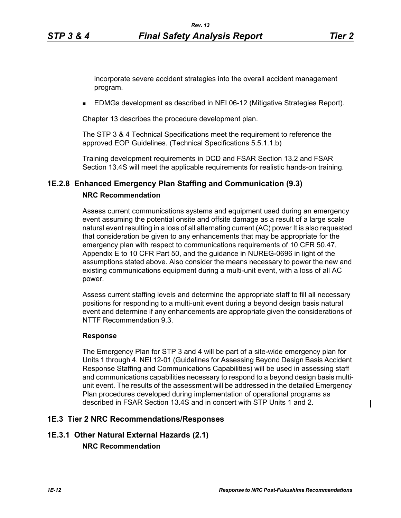**EDMGs development as described in NEI 06-12 (Mitigative Strategies Report).** 

Chapter 13 describes the procedure development plan.

The STP 3 & 4 Technical Specifications meet the requirement to reference the approved EOP Guidelines. (Technical Specifications 5.5.1.1.b)

Training development requirements in DCD and FSAR Section 13.2 and FSAR Section 13.4S will meet the applicable requirements for realistic hands-on training.

## **1E.2.8 Enhanced Emergency Plan Staffing and Communication (9.3)**

#### **NRC Recommendation**

Assess current communications systems and equipment used during an emergency event assuming the potential onsite and offsite damage as a result of a large scale natural event resulting in a loss of all alternating current (AC) power It is also requested that consideration be given to any enhancements that may be appropriate for the emergency plan with respect to communications requirements of 10 CFR 50.47, Appendix E to 10 CFR Part 50, and the guidance in NUREG-0696 in light of the assumptions stated above. Also consider the means necessary to power the new and existing communications equipment during a multi-unit event, with a loss of all AC power.

Assess current staffing levels and determine the appropriate staff to fill all necessary positions for responding to a multi-unit event during a beyond design basis natural event and determine if any enhancements are appropriate given the considerations of NTTF Recommendation 9.3.

#### **Response**

The Emergency Plan for STP 3 and 4 will be part of a site-wide emergency plan for Units 1 through 4. NEI 12-01 (Guidelines for Assessing Beyond Design Basis Accident Response Staffing and Communications Capabilities) will be used in assessing staff and communications capabilities necessary to respond to a beyond design basis multiunit event. The results of the assessment will be addressed in the detailed Emergency Plan procedures developed during implementation of operational programs as described in FSAR Section 13.4S and in concert with STP Units 1 and 2.

#### **1E.3 Tier 2 NRC Recommendations/Responses**

# **1E.3.1 Other Natural External Hazards (2.1)**

**NRC Recommendation**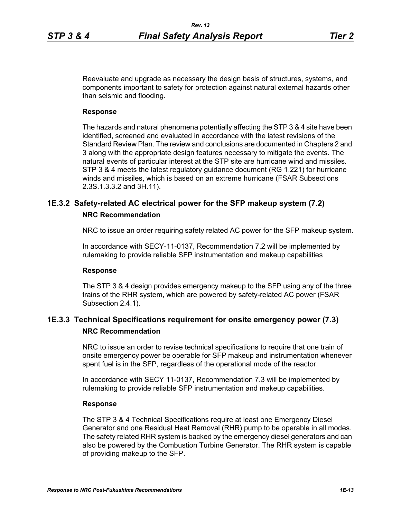Reevaluate and upgrade as necessary the design basis of structures, systems, and components important to safety for protection against natural external hazards other than seismic and flooding.

#### **Response**

The hazards and natural phenomena potentially affecting the STP 3 & 4 site have been identified, screened and evaluated in accordance with the latest revisions of the Standard Review Plan. The review and conclusions are documented in Chapters 2 and 3 along with the appropriate design features necessary to mitigate the events. The natural events of particular interest at the STP site are hurricane wind and missiles. STP 3 & 4 meets the latest regulatory guidance document (RG 1.221) for hurricane winds and missiles, which is based on an extreme hurricane (FSAR Subsections 2.3S.1.3.3.2 and 3H.11).

# **1E.3.2 Safety-related AC electrical power for the SFP makeup system (7.2) NRC Recommendation**

NRC to issue an order requiring safety related AC power for the SFP makeup system.

In accordance with SECY-11-0137, Recommendation 7.2 will be implemented by rulemaking to provide reliable SFP instrumentation and makeup capabilities

### **Response**

The STP 3 & 4 design provides emergency makeup to the SFP using any of the three trains of the RHR system, which are powered by safety-related AC power (FSAR Subsection 2.4.1).

# **1E.3.3 Technical Specifications requirement for onsite emergency power (7.3) NRC Recommendation**

NRC to issue an order to revise technical specifications to require that one train of onsite emergency power be operable for SFP makeup and instrumentation whenever spent fuel is in the SFP, regardless of the operational mode of the reactor.

In accordance with SECY 11-0137, Recommendation 7.3 will be implemented by rulemaking to provide reliable SFP instrumentation and makeup capabilities.

#### **Response**

The STP 3 & 4 Technical Specifications require at least one Emergency Diesel Generator and one Residual Heat Removal (RHR) pump to be operable in all modes. The safety related RHR system is backed by the emergency diesel generators and can also be powered by the Combustion Turbine Generator. The RHR system is capable of providing makeup to the SFP.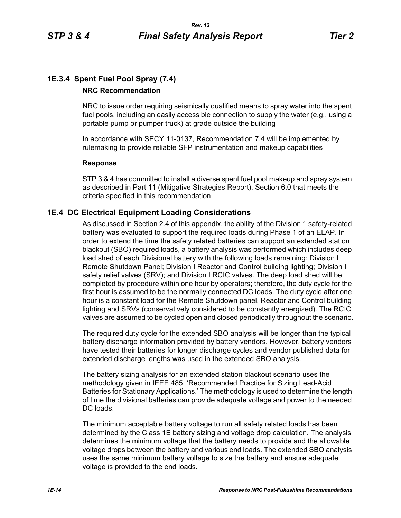# **1E.3.4 Spent Fuel Pool Spray (7.4)**

# **NRC Recommendation**

NRC to issue order requiring seismically qualified means to spray water into the spent fuel pools, including an easily accessible connection to supply the water (e.g., using a portable pump or pumper truck) at grade outside the building

In accordance with SECY 11-0137, Recommendation 7.4 will be implemented by rulemaking to provide reliable SFP instrumentation and makeup capabilities

## **Response**

STP 3 & 4 has committed to install a diverse spent fuel pool makeup and spray system as described in Part 11 (Mitigative Strategies Report), Section 6.0 that meets the criteria specified in this recommendation

# **1E.4 DC Electrical Equipment Loading Considerations**

As discussed in Section 2.4 of this appendix, the ability of the Division 1 safety-related battery was evaluated to support the required loads during Phase 1 of an ELAP. In order to extend the time the safety related batteries can support an extended station blackout (SBO) required loads, a battery analysis was performed which includes deep load shed of each Divisional battery with the following loads remaining: Division I Remote Shutdown Panel; Division I Reactor and Control building lighting; Division I safety relief valves (SRV); and Division I RCIC valves. The deep load shed will be completed by procedure within one hour by operators; therefore, the duty cycle for the first hour is assumed to be the normally connected DC loads. The duty cycle after one hour is a constant load for the Remote Shutdown panel, Reactor and Control building lighting and SRVs (conservatively considered to be constantly energized). The RCIC valves are assumed to be cycled open and closed periodically throughout the scenario.

The required duty cycle for the extended SBO analysis will be longer than the typical battery discharge information provided by battery vendors. However, battery vendors have tested their batteries for longer discharge cycles and vendor published data for extended discharge lengths was used in the extended SBO analysis.

The battery sizing analysis for an extended station blackout scenario uses the methodology given in IEEE 485, 'Recommended Practice for Sizing Lead-Acid Batteries for Stationary Applications.' The methodology is used to determine the length of time the divisional batteries can provide adequate voltage and power to the needed DC loads.

The minimum acceptable battery voltage to run all safety related loads has been determined by the Class 1E battery sizing and voltage drop calculation. The analysis determines the minimum voltage that the battery needs to provide and the allowable voltage drops between the battery and various end loads. The extended SBO analysis uses the same minimum battery voltage to size the battery and ensure adequate voltage is provided to the end loads.